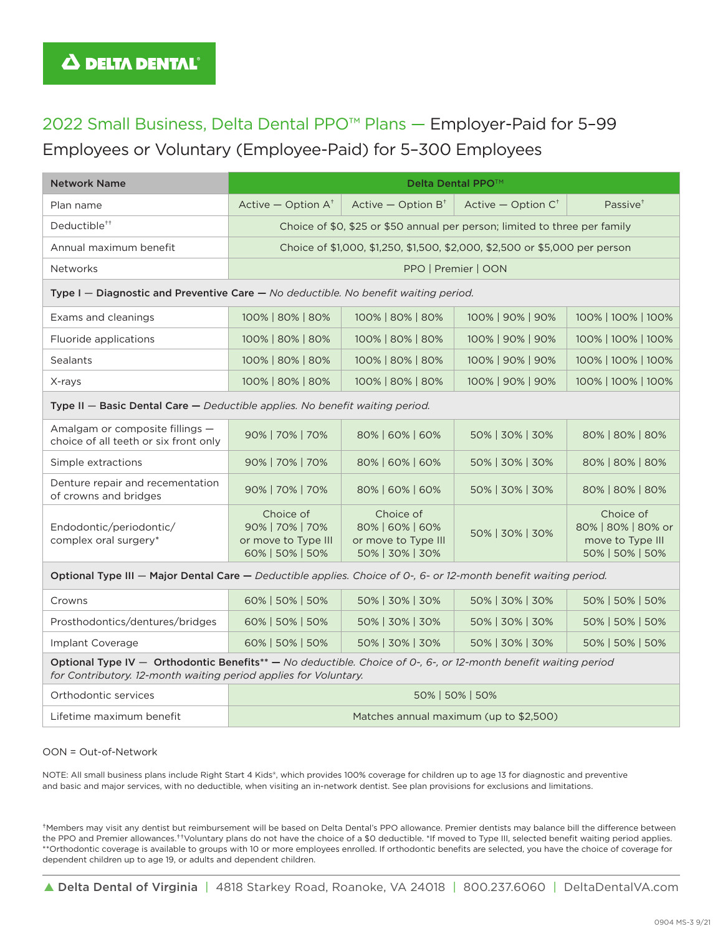# 2022 Small Business, Delta Dental PPO™ Plans — Employer-Paid for 5–99 Employees or Voluntary (Employee-Paid) for 5–300 Employees

| <b>Network Name</b>                                                                                                                                                                 | <b>Delta Dental PPO™</b>                                                    |                                                                        |                                 |                                                                        |
|-------------------------------------------------------------------------------------------------------------------------------------------------------------------------------------|-----------------------------------------------------------------------------|------------------------------------------------------------------------|---------------------------------|------------------------------------------------------------------------|
| Plan name                                                                                                                                                                           | Active $-$ Option $A^{\dagger}$                                             | Active $-$ Option $B^{\dagger}$                                        | Active $-$ Option $C^{\dagger}$ | Passive <sup>+</sup>                                                   |
| Deductible <sup>++</sup>                                                                                                                                                            | Choice of \$0, \$25 or \$50 annual per person; limited to three per family  |                                                                        |                                 |                                                                        |
| Annual maximum benefit                                                                                                                                                              | Choice of \$1,000, \$1,250, \$1,500, \$2,000, \$2,500 or \$5,000 per person |                                                                        |                                 |                                                                        |
| Networks                                                                                                                                                                            | PPO   Premier   OON                                                         |                                                                        |                                 |                                                                        |
| Type I - Diagnostic and Preventive Care - No deductible. No benefit waiting period.                                                                                                 |                                                                             |                                                                        |                                 |                                                                        |
| Exams and cleanings                                                                                                                                                                 | 100%   80%   80%                                                            | 100%   80%   80%                                                       | 100%   90%   90%                | 100%   100%   100%                                                     |
| Fluoride applications                                                                                                                                                               | 100%   80%   80%                                                            | 100%   80%   80%                                                       | 100%   90%   90%                | 100%   100%   100%                                                     |
| <b>Sealants</b>                                                                                                                                                                     | 100%   80%   80%                                                            | 100%   80%   80%                                                       | 100%   90%   90%                | 100%   100%   100%                                                     |
| X-rays                                                                                                                                                                              | 100%   80%   80%                                                            | 100%   80%   80%                                                       | 100%   90%   90%                | 100%   100%   100%                                                     |
| Type II - Basic Dental Care - Deductible applies. No benefit waiting period.                                                                                                        |                                                                             |                                                                        |                                 |                                                                        |
| Amalgam or composite fillings -<br>choice of all teeth or six front only                                                                                                            | 90%   70%   70%                                                             | 80%   60%   60%                                                        | 50%   30%   30%                 | 80%   80%   80%                                                        |
| Simple extractions                                                                                                                                                                  | 90%   70%   70%                                                             | 80%   60%   60%                                                        | 50%   30%   30%                 | 80%   80%   80%                                                        |
| Denture repair and recementation<br>of crowns and bridges                                                                                                                           | 90%   70%   70%                                                             | 80%   60%   60%                                                        | 50%   30%   30%                 | 80%   80%   80%                                                        |
| Endodontic/periodontic/<br>complex oral surgery*                                                                                                                                    | Choice of<br>90%   70%   70%<br>or move to Type III<br>60%   50%   50%      | Choice of<br>80%   60%   60%<br>or move to Type III<br>50%   30%   30% | 50%   30%   30%                 | Choice of<br>80%   80%   80% or<br>move to Type III<br>50%   50%   50% |
| Optional Type III - Major Dental Care - Deductible applies. Choice of 0-, 6- or 12-month benefit waiting period.                                                                    |                                                                             |                                                                        |                                 |                                                                        |
| Crowns                                                                                                                                                                              | 60%   50%   50%                                                             | 50%   30%   30%                                                        | 50%   30%   30%                 | 50% 50% 50%                                                            |
| Prosthodontics/dentures/bridges                                                                                                                                                     | 60%   50%   50%                                                             | 50%   30%   30%                                                        | 50%   30%   30%                 | 50%   50%   50%                                                        |
| Implant Coverage                                                                                                                                                                    | 60%   50%   50%                                                             | 50%   30%   30%                                                        | 50%   30%   30%                 | 50%   50%   50%                                                        |
| Optional Type IV - Orthodontic Benefits** - No deductible. Choice of 0-, 6-, or 12-month benefit waiting period<br>for Contributory. 12-month waiting period applies for Voluntary. |                                                                             |                                                                        |                                 |                                                                        |
| Orthodontic services                                                                                                                                                                | 50%   50%   50%                                                             |                                                                        |                                 |                                                                        |
| Lifetime maximum benefit                                                                                                                                                            | Matches annual maximum (up to \$2,500)                                      |                                                                        |                                 |                                                                        |

#### OON = Out-of-Network

NOTE: All small business plans include Right Start 4 Kids®, which provides 100% coverage for children up to age 13 for diagnostic and preventive and basic and major services, with no deductible, when visiting an in-network dentist. See plan provisions for exclusions and limitations.

†Members may visit any dentist but reimbursement will be based on Delta Dental's PPO allowance. Premier dentists may balance bill the difference between the PPO and Premier allowances.††Voluntary plans do not have the choice of a \$0 deductible. \*If moved to Type III, selected benefit waiting period applies. \*\*Orthodontic coverage is available to groups with 10 or more employees enrolled. If orthodontic benefits are selected, you have the choice of coverage for dependent children up to age 19, or adults and dependent children.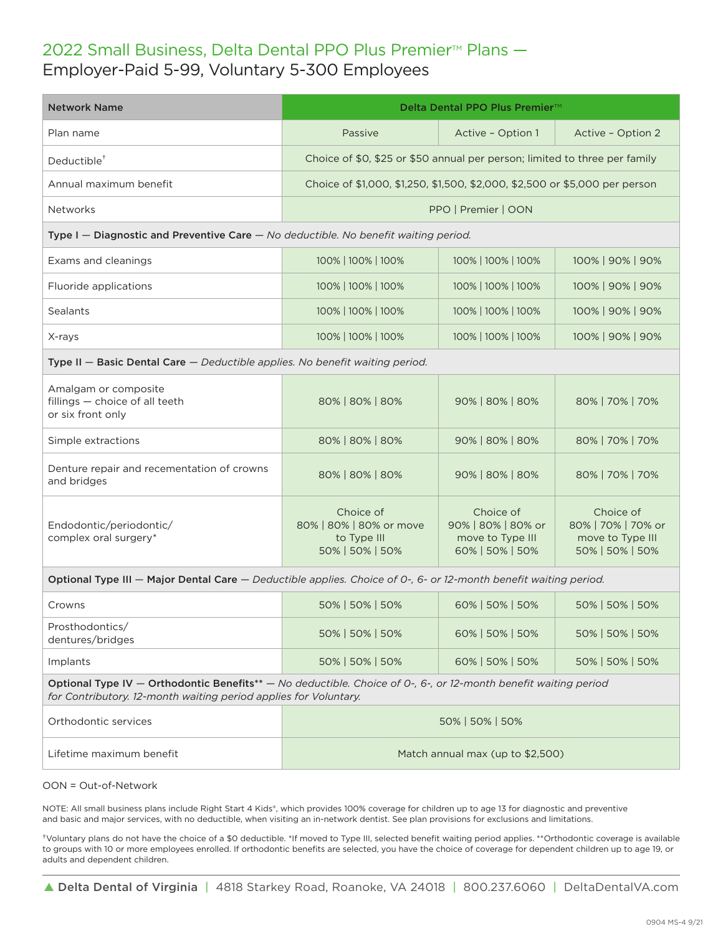### 2022 Small Business, Delta Dental PPO Plus Premier<sup>™</sup> Plans -Employer-Paid 5-99, Voluntary 5-300 Employees

| <b>Network Name</b>                                                                                                                                                                 | Delta Dental PPO Plus Premier™                                              |                                                                        |                                                                        |  |
|-------------------------------------------------------------------------------------------------------------------------------------------------------------------------------------|-----------------------------------------------------------------------------|------------------------------------------------------------------------|------------------------------------------------------------------------|--|
| Plan name                                                                                                                                                                           | Passive                                                                     | Active - Option 1                                                      | Active - Option 2                                                      |  |
| Deductible <sup>+</sup>                                                                                                                                                             | Choice of \$0, \$25 or \$50 annual per person; limited to three per family  |                                                                        |                                                                        |  |
| Annual maximum benefit                                                                                                                                                              | Choice of \$1,000, \$1,250, \$1,500, \$2,000, \$2,500 or \$5,000 per person |                                                                        |                                                                        |  |
| <b>Networks</b>                                                                                                                                                                     | PPO   Premier   OON                                                         |                                                                        |                                                                        |  |
| Type I - Diagnostic and Preventive Care - No deductible. No benefit waiting period.                                                                                                 |                                                                             |                                                                        |                                                                        |  |
| Exams and cleanings                                                                                                                                                                 | 100%   100%   100%                                                          | 100%   100%   100%                                                     | 100%   90%   90%                                                       |  |
| Fluoride applications                                                                                                                                                               | 100%   100%   100%                                                          | 100%   100%   100%                                                     | 100%   90%   90%                                                       |  |
| <b>Sealants</b>                                                                                                                                                                     | 100%   100%   100%                                                          | 100%   100%   100%                                                     | 100%   90%   90%                                                       |  |
| X-rays                                                                                                                                                                              | 100%   100%   100%                                                          | 100%   100%   100%                                                     | 100%   90%   90%                                                       |  |
| Type II - Basic Dental Care - Deductible applies. No benefit waiting period.                                                                                                        |                                                                             |                                                                        |                                                                        |  |
| Amalgam or composite<br>fillings - choice of all teeth<br>or six front only                                                                                                         | 80%   80%   80%                                                             | 90%   80%   80%                                                        | 80%   70%   70%                                                        |  |
| Simple extractions                                                                                                                                                                  | 80%   80%   80%                                                             | 90%   80%   80%                                                        | 80%   70%   70%                                                        |  |
| Denture repair and recementation of crowns<br>and bridges                                                                                                                           | 80%   80%   80%                                                             | 90%   80%   80%                                                        | 80%   70%   70%                                                        |  |
| Endodontic/periodontic/<br>complex oral surgery*                                                                                                                                    | Choice of<br>80%   80%   80% or move<br>to Type III<br>50%   50%   50%      | Choice of<br>90%   80%   80% or<br>move to Type III<br>60%   50%   50% | Choice of<br>80%   70%   70% or<br>move to Type III<br>50%   50%   50% |  |
| Optional Type III - Major Dental Care - Deductible applies. Choice of 0-, 6- or 12-month benefit waiting period.                                                                    |                                                                             |                                                                        |                                                                        |  |
| Crowns                                                                                                                                                                              | 50%   50%   50%                                                             | 60%   50%   50%                                                        | 50%   50%   50%                                                        |  |
| Prosthodontics/<br>dentures/bridges                                                                                                                                                 | 50%   50%   50%                                                             | 60%   50%   50%                                                        | 50%   50%   50%                                                        |  |
| Implants                                                                                                                                                                            | 50%   50%   50%                                                             | 60%   50%   50%                                                        | 50%   50%   50%                                                        |  |
| Optional Type IV - Orthodontic Benefits** - No deductible. Choice of 0-, 6-, or 12-month benefit waiting period<br>for Contributory. 12-month waiting period applies for Voluntary. |                                                                             |                                                                        |                                                                        |  |
| Orthodontic services                                                                                                                                                                | 50%   50%   50%                                                             |                                                                        |                                                                        |  |
| Lifetime maximum benefit                                                                                                                                                            | Match annual max (up to \$2,500)                                            |                                                                        |                                                                        |  |

#### OON = Out-of-Network

NOTE: All small business plans include Right Start 4 Kids®, which provides 100% coverage for children up to age 13 for diagnostic and preventive and basic and major services, with no deductible, when visiting an in-network dentist. See plan provisions for exclusions and limitations.

†Voluntary plans do not have the choice of a \$0 deductible. \*If moved to Type III, selected benefit waiting period applies. \*\*Orthodontic coverage is available to groups with 10 or more employees enrolled. If orthodontic benefits are selected, you have the choice of coverage for dependent children up to age 19, or adults and dependent children.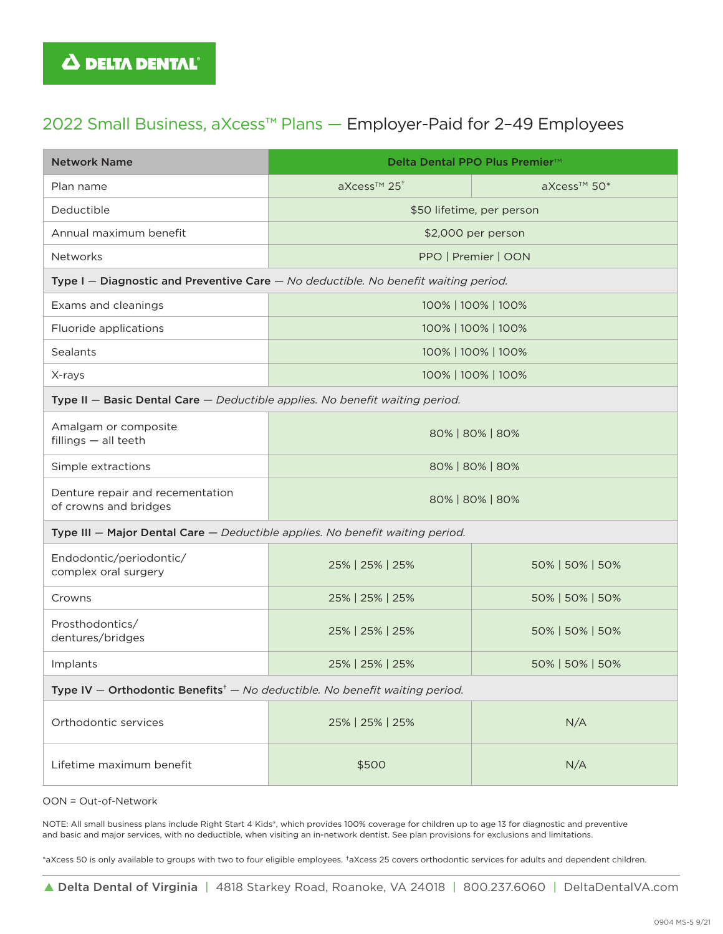### 2022 Small Business, aXcess™ Plans — Employer-Paid for 2–49 Employees

| <b>Network Name</b>                                                                                        | Delta Dental PPO Plus Premier <sup>™</sup> |                 |  |  |
|------------------------------------------------------------------------------------------------------------|--------------------------------------------|-----------------|--|--|
| Plan name                                                                                                  | aXcess™ 25 <sup>+</sup>                    | aXcess™ 50*     |  |  |
| Deductible                                                                                                 | \$50 lifetime, per person                  |                 |  |  |
| Annual maximum benefit                                                                                     | \$2,000 per person                         |                 |  |  |
| Networks                                                                                                   | PPO   Premier   OON                        |                 |  |  |
| Type I - Diagnostic and Preventive Care - No deductible. No benefit waiting period.                        |                                            |                 |  |  |
| Exams and cleanings                                                                                        | 100%   100%   100%                         |                 |  |  |
| Fluoride applications                                                                                      | 100%   100%   100%                         |                 |  |  |
| Sealants                                                                                                   | 100%   100%   100%                         |                 |  |  |
| X-rays                                                                                                     | 100%   100%   100%                         |                 |  |  |
| Type II - Basic Dental Care - Deductible applies. No benefit waiting period.                               |                                            |                 |  |  |
| Amalgam or composite<br>fillings - all teeth                                                               | 80%   80%   80%                            |                 |  |  |
| Simple extractions                                                                                         | 80%   80%   80%                            |                 |  |  |
| Denture repair and recementation<br>of crowns and bridges                                                  | 80%   80%   80%                            |                 |  |  |
| Type III - Major Dental Care - Deductible applies. No benefit waiting period.                              |                                            |                 |  |  |
| Endodontic/periodontic/<br>complex oral surgery                                                            | 25%   25%   25%                            | 50%   50%   50% |  |  |
| Crowns                                                                                                     | 25%   25%   25%                            | 50%   50%   50% |  |  |
| Prosthodontics/<br>dentures/bridges                                                                        | 25%   25%   25%                            | 50%   50%   50% |  |  |
| Implants                                                                                                   | 25%   25%   25%                            | 50%   50%   50% |  |  |
| Type IV - Orthodontic Benefits <sup><math>\dagger</math></sup> - No deductible. No benefit waiting period. |                                            |                 |  |  |
| Orthodontic services                                                                                       | 25%   25%   25%                            | N/A             |  |  |
| Lifetime maximum benefit                                                                                   | \$500                                      | N/A             |  |  |

OON = Out-of-Network

NOTE: All small business plans include Right Start 4 Kids®, which provides 100% coverage for children up to age 13 for diagnostic and preventive and basic and major services, with no deductible, when visiting an in-network dentist. See plan provisions for exclusions and limitations.

\*aXcess 50 is only available to groups with two to four eligible employees. †aXcess 25 covers orthodontic services for adults and dependent children.